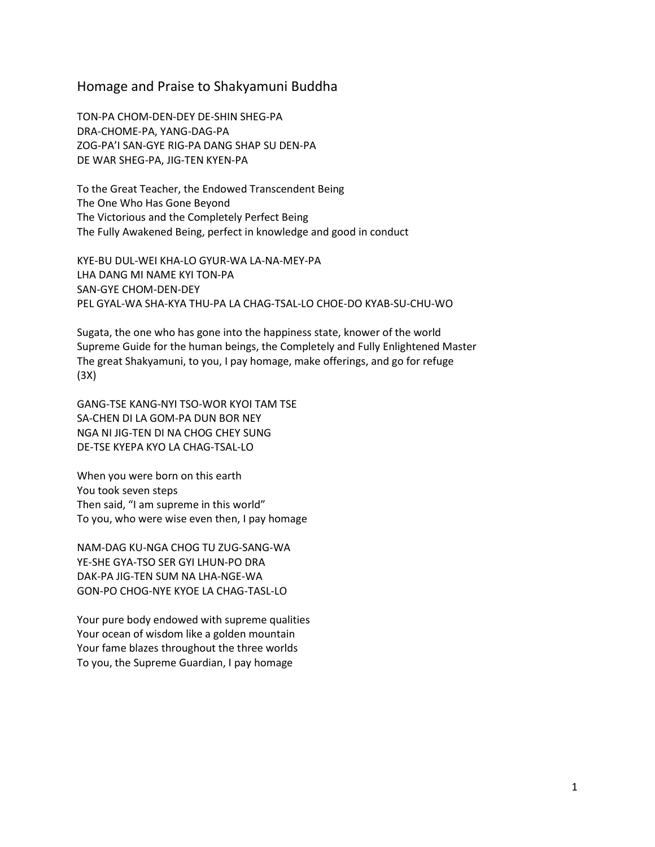## Homage and Praise to Shakyamuni Buddha

TON-PA CHOM-DEN-DEY DE-SHIN SHEG-PA DRA-CHOME-PA, YANG-DAG-PA ZOG-PA'I SAN-GYE RIG-PA DANG SHAP SU DEN-PA DE WAR SHEG-PA, JIG-TEN KYEN-PA

To the Great Teacher, the Endowed Transcendent Being The One Who Has Gone Beyond The Victorious and the Completely Perfect Being The Fully Awakened Being, perfect in knowledge and good in conduct

KYE-BU DUL-WEI KHA-LO GYUR-WA LA-NA-MEY-PA LHA DANG MI NAME KYI TON-PA SAN-GYE CHOM-DEN-DEY PEL GYAL-WA SHA-KYA THU-PA LA CHAG-TSAL-LO CHOE-DO KYAB-SU-CHU-WO

Sugata, the one who has gone into the happiness state, knower of the world Supreme Guide for the human beings, the Completely and Fully Enlightened Master The great Shakyamuni, to you, I pay homage, make offerings, and go for refuge (3X)

GANG-TSE KANG-NYI TSO-WOR KYOI TAM TSE SA-CHEN DI LA GOM-PA DUN BOR NEY NGA NI JIG-TEN DI NA CHOG CHEY SUNG DE-TSE KYEPA KYO LA CHAG-TSAL-LO

When you were born on this earth You took seven steps Then said, "I am supreme in this world" To you, who were wise even then, I pay homage

NAM-DAG KU-NGA CHOG TU ZUG-SANG-WA YE-SHE GYA-TSO SER GYI LHUN-PO DRA DAK-PA JIG-TEN SUM NA LHA-NGE-WA GON-PO CHOG-NYE KYOE LA CHAG-TASL-LO

Your pure body endowed with supreme qualities Your ocean of wisdom like a golden mountain Your fame blazes throughout the three worlds To you, the Supreme Guardian, I pay homage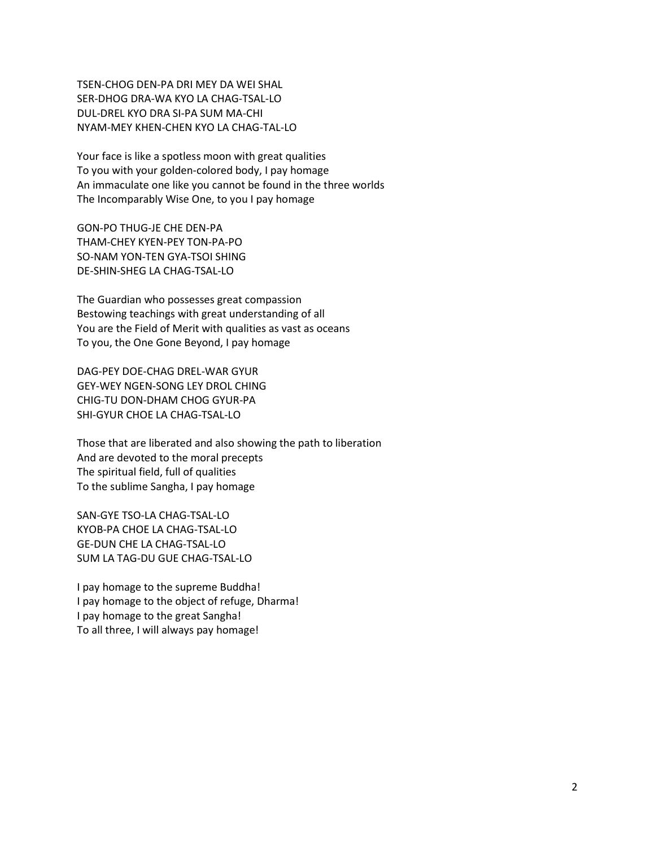TSEN-CHOG DEN-PA DRI MEY DA WEI SHAL SER-DHOG DRA-WA KYO LA CHAG-TSAL-LO DUL-DREL KYO DRA SI-PA SUM MA-CHI NYAM-MEY KHEN-CHEN KYO LA CHAG-TAL-LO

Your face is like a spotless moon with great qualities To you with your golden-colored body, I pay homage An immaculate one like you cannot be found in the three worlds The Incomparably Wise One, to you I pay homage

GON-PO THUG-JE CHE DEN-PA THAM-CHEY KYEN-PEY TON-PA-PO SO-NAM YON-TEN GYA-TSOI SHING DE-SHIN-SHEG LA CHAG-TSAL-LO

The Guardian who possesses great compassion Bestowing teachings with great understanding of all You are the Field of Merit with qualities as vast as oceans To you, the One Gone Beyond, I pay homage

DAG-PEY DOE-CHAG DREL-WAR GYUR GEY-WEY NGEN-SONG LEY DROL CHING CHIG-TU DON-DHAM CHOG GYUR-PA SHI-GYUR CHOE LA CHAG-TSAL-LO

Those that are liberated and also showing the path to liberation And are devoted to the moral precepts The spiritual field, full of qualities To the sublime Sangha, I pay homage

SAN-GYE TSO-LA CHAG-TSAL-LO KYOB-PA CHOE LA CHAG-TSAL-LO GE-DUN CHE LA CHAG-TSAL-LO SUM LA TAG-DU GUE CHAG-TSAL-LO

I pay homage to the supreme Buddha! I pay homage to the object of refuge, Dharma! I pay homage to the great Sangha! To all three, I will always pay homage!